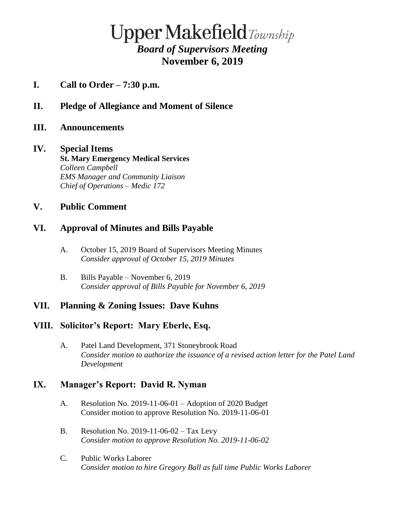# $\bf Upper \, Make field \, \textit{Township}$ *Board of Supervisors Meeting* **November 6, 2019**

- **I. Call to Order – 7:30 p.m.**
- **II. Pledge of Allegiance and Moment of Silence**
- **III. Announcements**

#### **IV. Special Items**

**St. Mary Emergency Medical Services**  *Colleen Campbell EMS Manager and Community Liaison Chief of Operations – Medic 172*

## **V. Public Comment**

### **VI. Approval of Minutes and Bills Payable**

- A. October 15, 2019 Board of Supervisors Meeting Minutes *Consider approval of October 15, 2019 Minutes*
- B. Bills Payable November 6, 2019 *Consider approval of Bills Payable for November 6, 2019*

### **VII. Planning & Zoning Issues: Dave Kuhns**

### **VIII. Solicitor's Report: Mary Eberle, Esq.**

A. Patel Land Development, 371 Stoneybrook Road *Consider motion to authorize the issuance of a revised action letter for the Patel Land Development*

### **IX. Manager's Report: David R. Nyman**

- A. Resolution No. 2019-11-06-01 Adoption of 2020 Budget Consider motion to approve Resolution No. 2019-11-06-01
- B. Resolution No. 2019-11-06-02 Tax Levy *Consider motion to approve Resolution No. 2019-11-06-02*
- C*.* Public Works Laborer *Consider motion to hire Gregory Ball as full time Public Works Laborer*